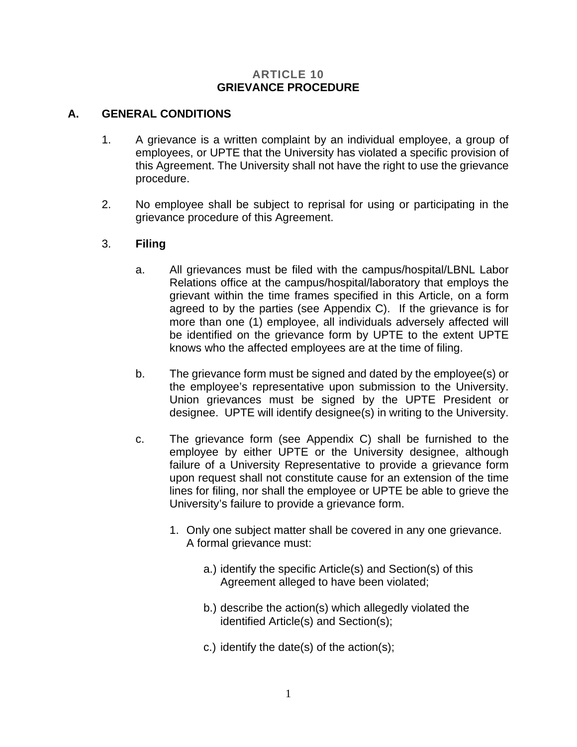#### **ARTICLE 10 GRIEVANCE PROCEDURE**

## **A. GENERAL CONDITIONS**

- 1. A grievance is a written complaint by an individual employee, a group of employees, or UPTE that the University has violated a specific provision of this Agreement. The University shall not have the right to use the grievance procedure.
- 2. No employee shall be subject to reprisal for using or participating in the grievance procedure of this Agreement.

## 3. **Filing**

- a. All grievances must be filed with the campus/hospital/LBNL Labor Relations office at the campus/hospital/laboratory that employs the grievant within the time frames specified in this Article, on a form agreed to by the parties (see Appendix C). If the grievance is for more than one (1) employee, all individuals adversely affected will be identified on the grievance form by UPTE to the extent UPTE knows who the affected employees are at the time of filing.
- b. The grievance form must be signed and dated by the employee(s) or the employee's representative upon submission to the University. Union grievances must be signed by the UPTE President or designee. UPTE will identify designee(s) in writing to the University.
- c. The grievance form (see Appendix C) shall be furnished to the employee by either UPTE or the University designee, although failure of a University Representative to provide a grievance form upon request shall not constitute cause for an extension of the time lines for filing, nor shall the employee or UPTE be able to grieve the University's failure to provide a grievance form.
	- 1. Only one subject matter shall be covered in any one grievance. A formal grievance must:
		- a.) identify the specific Article(s) and Section(s) of this Agreement alleged to have been violated;
		- b.) describe the action(s) which allegedly violated the identified Article(s) and Section(s);
		- c.) identify the date(s) of the action(s);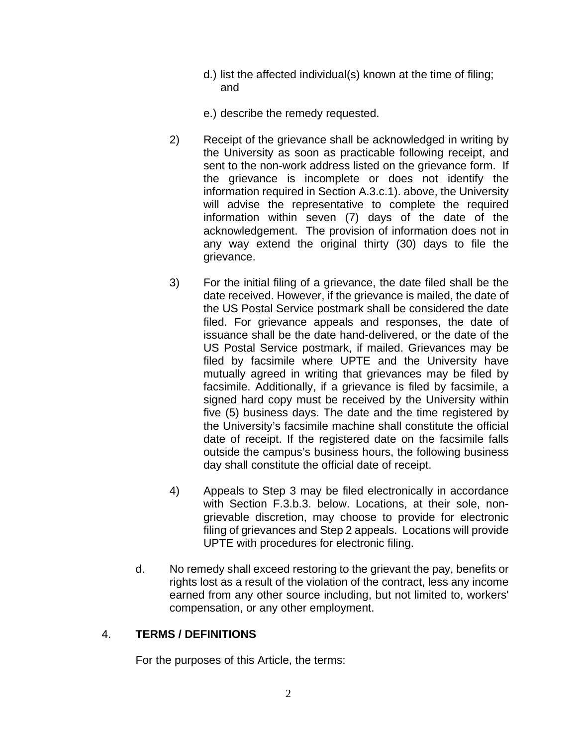- d.) list the affected individual(s) known at the time of filing; and
- e.) describe the remedy requested.
- 2) Receipt of the grievance shall be acknowledged in writing by the University as soon as practicable following receipt, and sent to the non-work address listed on the grievance form. If the grievance is incomplete or does not identify the information required in Section A.3.c.1). above, the University will advise the representative to complete the required information within seven (7) days of the date of the acknowledgement. The provision of information does not in any way extend the original thirty (30) days to file the grievance.
- 3) For the initial filing of a grievance, the date filed shall be the date received. However, if the grievance is mailed, the date of the US Postal Service postmark shall be considered the date filed. For grievance appeals and responses, the date of issuance shall be the date hand-delivered, or the date of the US Postal Service postmark, if mailed. Grievances may be filed by facsimile where UPTE and the University have mutually agreed in writing that grievances may be filed by facsimile. Additionally, if a grievance is filed by facsimile, a signed hard copy must be received by the University within five (5) business days. The date and the time registered by the University's facsimile machine shall constitute the official date of receipt. If the registered date on the facsimile falls outside the campus's business hours, the following business day shall constitute the official date of receipt.
- 4) Appeals to Step 3 may be filed electronically in accordance with Section F.3.b.3. below. Locations, at their sole, nongrievable discretion, may choose to provide for electronic filing of grievances and Step 2 appeals. Locations will provide UPTE with procedures for electronic filing.
- d. No remedy shall exceed restoring to the grievant the pay, benefits or rights lost as a result of the violation of the contract, less any income earned from any other source including, but not limited to, workers' compensation, or any other employment.

# 4. **TERMS / DEFINITIONS**

For the purposes of this Article, the terms: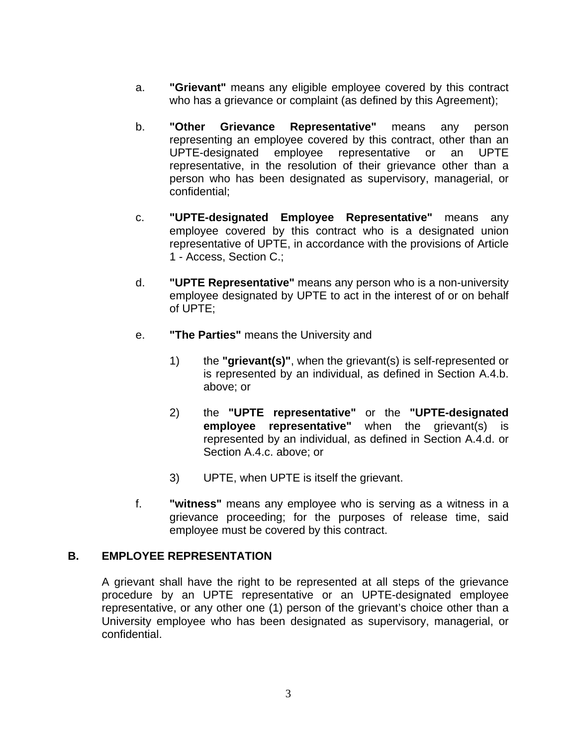- a. **"Grievant"** means any eligible employee covered by this contract who has a grievance or complaint (as defined by this Agreement);
- b. **"Other Grievance Representative"** means any person representing an employee covered by this contract, other than an UPTE-designated employee representative or an UPTE representative, in the resolution of their grievance other than a person who has been designated as supervisory, managerial, or confidential;
- c. **"UPTE-designated Employee Representative"** means any employee covered by this contract who is a designated union representative of UPTE, in accordance with the provisions of Article 1 - Access, Section C.;
- d. **"UPTE Representative"** means any person who is a non-university employee designated by UPTE to act in the interest of or on behalf of UPTE;
- e. **"The Parties"** means the University and
	- 1) the **"grievant(s)"**, when the grievant(s) is self-represented or is represented by an individual, as defined in Section A.4.b. above; or
	- 2) the **"UPTE representative"** or the **"UPTE-designated employee representative"** when the grievant(s) is represented by an individual, as defined in Section A.4.d. or Section A.4.c. above; or
	- 3) UPTE, when UPTE is itself the grievant.
- f. **"witness"** means any employee who is serving as a witness in a grievance proceeding; for the purposes of release time, said employee must be covered by this contract.

### **B. EMPLOYEE REPRESENTATION**

A grievant shall have the right to be represented at all steps of the grievance procedure by an UPTE representative or an UPTE-designated employee representative, or any other one (1) person of the grievant's choice other than a University employee who has been designated as supervisory, managerial, or confidential.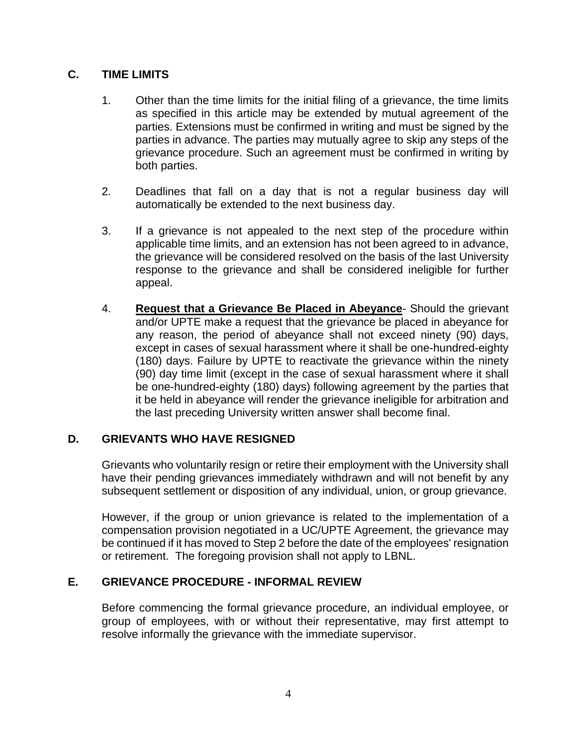# **C. TIME LIMITS**

- 1. Other than the time limits for the initial filing of a grievance, the time limits as specified in this article may be extended by mutual agreement of the parties. Extensions must be confirmed in writing and must be signed by the parties in advance. The parties may mutually agree to skip any steps of the grievance procedure. Such an agreement must be confirmed in writing by both parties.
- 2. Deadlines that fall on a day that is not a regular business day will automatically be extended to the next business day.
- 3. If a grievance is not appealed to the next step of the procedure within applicable time limits, and an extension has not been agreed to in advance, the grievance will be considered resolved on the basis of the last University response to the grievance and shall be considered ineligible for further appeal.
- 4. **Request that a Grievance Be Placed in Abeyance** Should the grievant and/or UPTE make a request that the grievance be placed in abeyance for any reason, the period of abeyance shall not exceed ninety (90) days, except in cases of sexual harassment where it shall be one-hundred-eighty (180) days. Failure by UPTE to reactivate the grievance within the ninety (90) day time limit (except in the case of sexual harassment where it shall be one-hundred-eighty (180) days) following agreement by the parties that it be held in abeyance will render the grievance ineligible for arbitration and the last preceding University written answer shall become final.

### **D. GRIEVANTS WHO HAVE RESIGNED**

Grievants who voluntarily resign or retire their employment with the University shall have their pending grievances immediately withdrawn and will not benefit by any subsequent settlement or disposition of any individual, union, or group grievance.

However, if the group or union grievance is related to the implementation of a compensation provision negotiated in a UC/UPTE Agreement, the grievance may be continued if it has moved to Step 2 before the date of the employees' resignation or retirement. The foregoing provision shall not apply to LBNL.

### **E. GRIEVANCE PROCEDURE - INFORMAL REVIEW**

Before commencing the formal grievance procedure, an individual employee, or group of employees, with or without their representative, may first attempt to resolve informally the grievance with the immediate supervisor.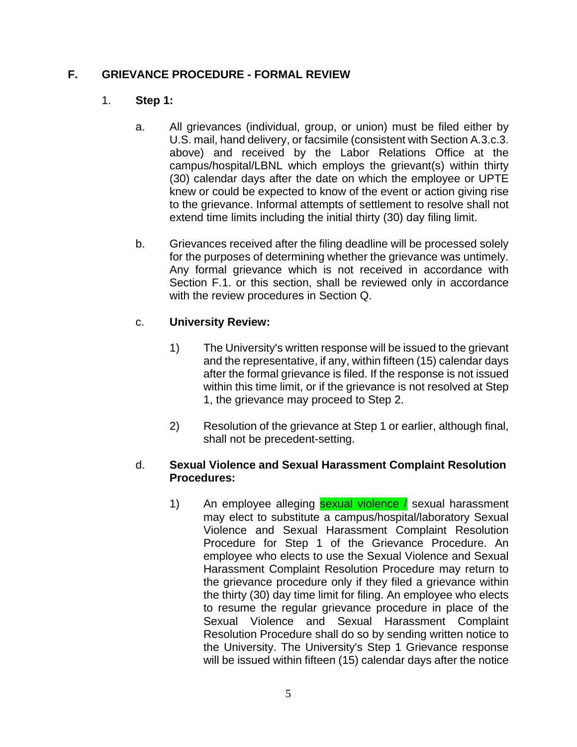## **F. GRIEVANCE PROCEDURE - FORMAL REVIEW**

### 1. **Step 1:**

- a. All grievances (individual, group, or union) must be filed either by U.S. mail, hand delivery, or facsimile (consistent with Section A.3.c.3. above) and received by the Labor Relations Office at the campus/hospital/LBNL which employs the grievant(s) within thirty (30) calendar days after the date on which the employee or UPTE knew or could be expected to know of the event or action giving rise to the grievance. Informal attempts of settlement to resolve shall not extend time limits including the initial thirty (30) day filing limit.
- b. Grievances received after the filing deadline will be processed solely for the purposes of determining whether the grievance was untimely. Any formal grievance which is not received in accordance with Section F.1. or this section, shall be reviewed only in accordance with the review procedures in Section Q.

## c. **University Review:**

- 1) The University's written response will be issued to the grievant and the representative, if any, within fifteen (15) calendar days after the formal grievance is filed. If the response is not issued within this time limit, or if the grievance is not resolved at Step 1, the grievance may proceed to Step 2.
- 2) Resolution of the grievance at Step 1 or earlier, although final, shall not be precedent-setting.

### d. **Sexual Violence and Sexual Harassment Complaint Resolution Procedures:**

1) An employee alleging **sexual violence /** sexual harassment may elect to substitute a campus/hospital/laboratory Sexual Violence and Sexual Harassment Complaint Resolution Procedure for Step 1 of the Grievance Procedure. An employee who elects to use the Sexual Violence and Sexual Harassment Complaint Resolution Procedure may return to the grievance procedure only if they filed a grievance within the thirty (30) day time limit for filing. An employee who elects to resume the regular grievance procedure in place of the Sexual Violence and Sexual Harassment Complaint Resolution Procedure shall do so by sending written notice to the University. The University's Step 1 Grievance response will be issued within fifteen (15) calendar days after the notice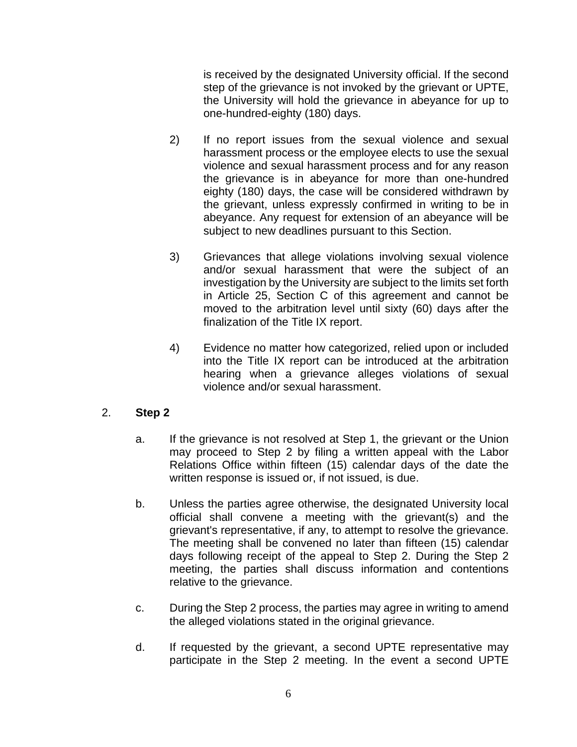is received by the designated University official. If the second step of the grievance is not invoked by the grievant or UPTE, the University will hold the grievance in abeyance for up to one-hundred-eighty (180) days.

- 2) If no report issues from the sexual violence and sexual harassment process or the employee elects to use the sexual violence and sexual harassment process and for any reason the grievance is in abeyance for more than one-hundred eighty (180) days, the case will be considered withdrawn by the grievant, unless expressly confirmed in writing to be in abeyance. Any request for extension of an abeyance will be subject to new deadlines pursuant to this Section.
- 3) Grievances that allege violations involving sexual violence and/or sexual harassment that were the subject of an investigation by the University are subject to the limits set forth in Article 25, Section C of this agreement and cannot be moved to the arbitration level until sixty (60) days after the finalization of the Title IX report.
- 4) Evidence no matter how categorized, relied upon or included into the Title IX report can be introduced at the arbitration hearing when a grievance alleges violations of sexual violence and/or sexual harassment.

### 2. **Step 2**

- a. If the grievance is not resolved at Step 1, the grievant or the Union may proceed to Step 2 by filing a written appeal with the Labor Relations Office within fifteen (15) calendar days of the date the written response is issued or, if not issued, is due.
- b. Unless the parties agree otherwise, the designated University local official shall convene a meeting with the grievant(s) and the grievant's representative, if any, to attempt to resolve the grievance. The meeting shall be convened no later than fifteen (15) calendar days following receipt of the appeal to Step 2. During the Step 2 meeting, the parties shall discuss information and contentions relative to the grievance.
- c. During the Step 2 process, the parties may agree in writing to amend the alleged violations stated in the original grievance.
- d. If requested by the grievant, a second UPTE representative may participate in the Step 2 meeting. In the event a second UPTE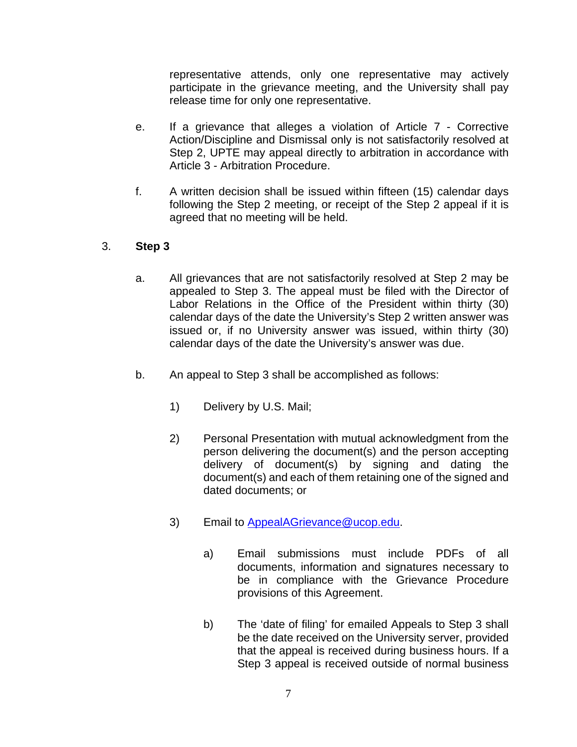representative attends, only one representative may actively participate in the grievance meeting, and the University shall pay release time for only one representative.

- e. If a grievance that alleges a violation of Article 7 Corrective Action/Discipline and Dismissal only is not satisfactorily resolved at Step 2, UPTE may appeal directly to arbitration in accordance with Article 3 - Arbitration Procedure.
- f. A written decision shall be issued within fifteen (15) calendar days following the Step 2 meeting, or receipt of the Step 2 appeal if it is agreed that no meeting will be held.

## 3. **Step 3**

- a. All grievances that are not satisfactorily resolved at Step 2 may be appealed to Step 3. The appeal must be filed with the Director of Labor Relations in the Office of the President within thirty (30) calendar days of the date the University's Step 2 written answer was issued or, if no University answer was issued, within thirty (30) calendar days of the date the University's answer was due.
- b. An appeal to Step 3 shall be accomplished as follows:
	- 1) Delivery by U.S. Mail;
	- 2) Personal Presentation with mutual acknowledgment from the person delivering the document(s) and the person accepting delivery of document(s) by signing and dating the document(s) and each of them retaining one of the signed and dated documents; or
	- 3) Email to [AppealAGrievance@ucop.edu.](mailto:AppealAGrievance@ucop.edu)
		- a) Email submissions must include PDFs of all documents, information and signatures necessary to be in compliance with the Grievance Procedure provisions of this Agreement.
		- b) The 'date of filing' for emailed Appeals to Step 3 shall be the date received on the University server, provided that the appeal is received during business hours. If a Step 3 appeal is received outside of normal business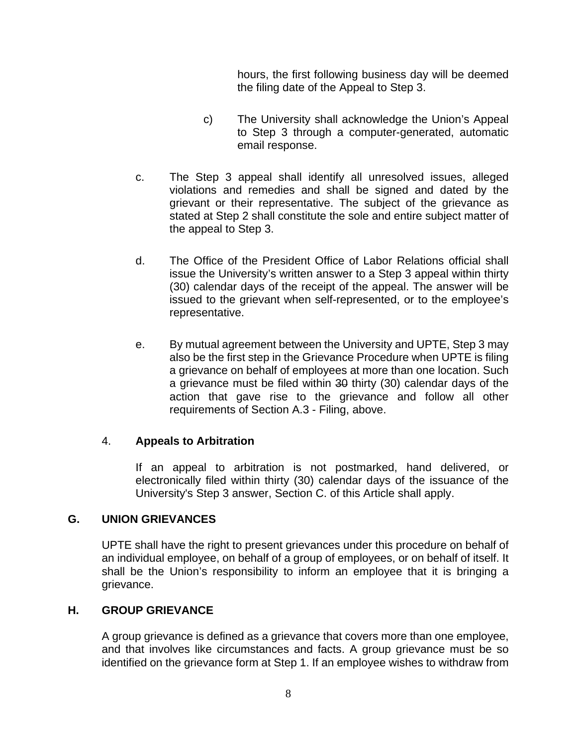hours, the first following business day will be deemed the filing date of the Appeal to Step 3.

- c) The University shall acknowledge the Union's Appeal to Step 3 through a computer-generated, automatic email response.
- c. The Step 3 appeal shall identify all unresolved issues, alleged violations and remedies and shall be signed and dated by the grievant or their representative. The subject of the grievance as stated at Step 2 shall constitute the sole and entire subject matter of the appeal to Step 3.
- d. The Office of the President Office of Labor Relations official shall issue the University's written answer to a Step 3 appeal within thirty (30) calendar days of the receipt of the appeal. The answer will be issued to the grievant when self-represented, or to the employee's representative.
- e. By mutual agreement between the University and UPTE, Step 3 may also be the first step in the Grievance Procedure when UPTE is filing a grievance on behalf of employees at more than one location. Such a grievance must be filed within 30 thirty (30) calendar days of the action that gave rise to the grievance and follow all other requirements of Section A.3 - Filing, above.

### 4. **Appeals to Arbitration**

If an appeal to arbitration is not postmarked, hand delivered, or electronically filed within thirty (30) calendar days of the issuance of the University's Step 3 answer, Section C. of this Article shall apply.

### **G. UNION GRIEVANCES**

UPTE shall have the right to present grievances under this procedure on behalf of an individual employee, on behalf of a group of employees, or on behalf of itself. It shall be the Union's responsibility to inform an employee that it is bringing a grievance.

### **H. GROUP GRIEVANCE**

A group grievance is defined as a grievance that covers more than one employee, and that involves like circumstances and facts. A group grievance must be so identified on the grievance form at Step 1. If an employee wishes to withdraw from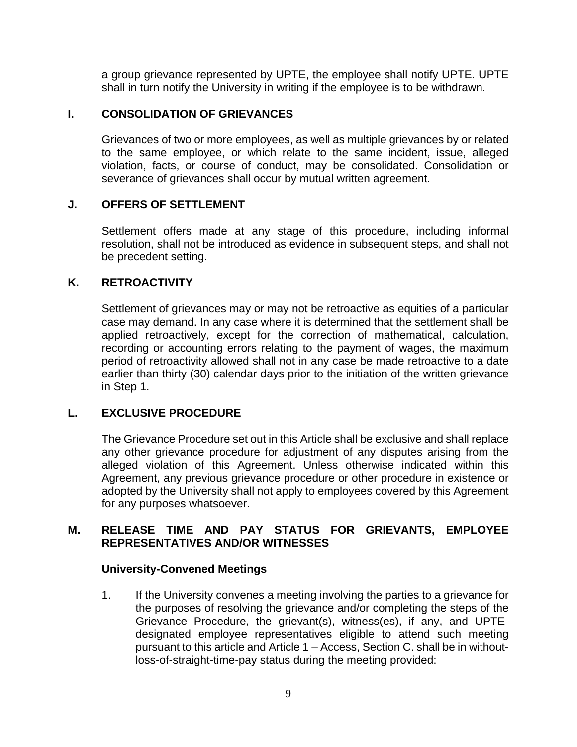a group grievance represented by UPTE, the employee shall notify UPTE. UPTE shall in turn notify the University in writing if the employee is to be withdrawn.

#### **I. CONSOLIDATION OF GRIEVANCES**

Grievances of two or more employees, as well as multiple grievances by or related to the same employee, or which relate to the same incident, issue, alleged violation, facts, or course of conduct, may be consolidated. Consolidation or severance of grievances shall occur by mutual written agreement.

#### **J. OFFERS OF SETTLEMENT**

Settlement offers made at any stage of this procedure, including informal resolution, shall not be introduced as evidence in subsequent steps, and shall not be precedent setting.

#### **K. RETROACTIVITY**

Settlement of grievances may or may not be retroactive as equities of a particular case may demand. In any case where it is determined that the settlement shall be applied retroactively, except for the correction of mathematical, calculation, recording or accounting errors relating to the payment of wages, the maximum period of retroactivity allowed shall not in any case be made retroactive to a date earlier than thirty (30) calendar days prior to the initiation of the written grievance in Step 1.

### **L. EXCLUSIVE PROCEDURE**

The Grievance Procedure set out in this Article shall be exclusive and shall replace any other grievance procedure for adjustment of any disputes arising from the alleged violation of this Agreement. Unless otherwise indicated within this Agreement, any previous grievance procedure or other procedure in existence or adopted by the University shall not apply to employees covered by this Agreement for any purposes whatsoever.

#### **M. RELEASE TIME AND PAY STATUS FOR GRIEVANTS, EMPLOYEE REPRESENTATIVES AND/OR WITNESSES**

#### **University-Convened Meetings**

1. If the University convenes a meeting involving the parties to a grievance for the purposes of resolving the grievance and/or completing the steps of the Grievance Procedure, the grievant(s), witness(es), if any, and UPTEdesignated employee representatives eligible to attend such meeting pursuant to this article and Article 1 – Access, Section C. shall be in withoutloss-of-straight-time-pay status during the meeting provided: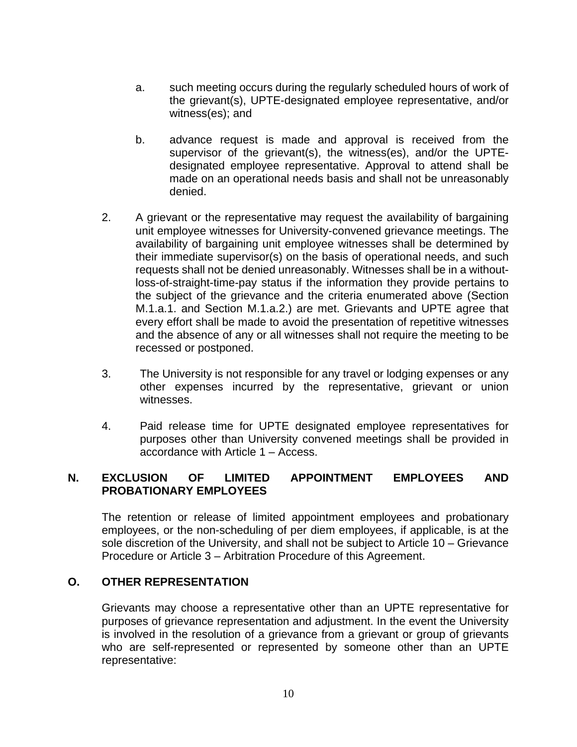- a. such meeting occurs during the regularly scheduled hours of work of the grievant(s), UPTE-designated employee representative, and/or witness(es); and
- b. advance request is made and approval is received from the supervisor of the grievant(s), the witness(es), and/or the UPTEdesignated employee representative. Approval to attend shall be made on an operational needs basis and shall not be unreasonably denied.
- 2. A grievant or the representative may request the availability of bargaining unit employee witnesses for University-convened grievance meetings. The availability of bargaining unit employee witnesses shall be determined by their immediate supervisor(s) on the basis of operational needs, and such requests shall not be denied unreasonably. Witnesses shall be in a withoutloss-of-straight-time-pay status if the information they provide pertains to the subject of the grievance and the criteria enumerated above (Section M.1.a.1. and Section M.1.a.2.) are met. Grievants and UPTE agree that every effort shall be made to avoid the presentation of repetitive witnesses and the absence of any or all witnesses shall not require the meeting to be recessed or postponed.
- 3. The University is not responsible for any travel or lodging expenses or any other expenses incurred by the representative, grievant or union witnesses.
- 4. Paid release time for UPTE designated employee representatives for purposes other than University convened meetings shall be provided in accordance with Article 1 – Access.

## **N. EXCLUSION OF LIMITED APPOINTMENT EMPLOYEES AND PROBATIONARY EMPLOYEES**

The retention or release of limited appointment employees and probationary employees, or the non-scheduling of per diem employees, if applicable, is at the sole discretion of the University, and shall not be subject to Article 10 – Grievance Procedure or Article 3 – Arbitration Procedure of this Agreement.

### **O. OTHER REPRESENTATION**

Grievants may choose a representative other than an UPTE representative for purposes of grievance representation and adjustment. In the event the University is involved in the resolution of a grievance from a grievant or group of grievants who are self-represented or represented by someone other than an UPTE representative: